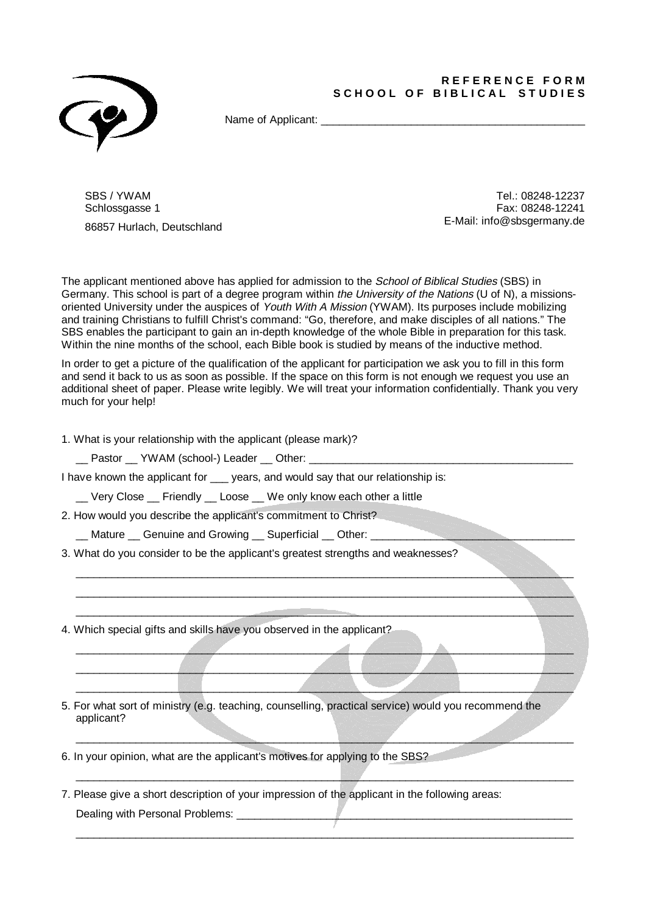## **R E F E R E N C E F O R M**  SCHOOL OF BIBLICAL STUDIES



Name of Applicant:  $\blacksquare$ 

SBS / YWAM Schlossgasse 1

86857 Hurlach, Deutschland

Tel.: 08248-12237 Fax: 08248-12241 E-Mail: info@sbsgermany.de

The applicant mentioned above has applied for admission to the School of Biblical Studies (SBS) in Germany. This school is part of a degree program within the University of the Nations (U of N), a missionsoriented University under the auspices of Youth With A Mission (YWAM). Its purposes include mobilizing and training Christians to fulfill Christ's command: "Go, therefore, and make disciples of all nations." The SBS enables the participant to gain an in-depth knowledge of the whole Bible in preparation for this task. Within the nine months of the school, each Bible book is studied by means of the inductive method.

In order to get a picture of the qualification of the applicant for participation we ask you to fill in this form and send it back to us as soon as possible. If the space on this form is not enough we request you use an additional sheet of paper. Please write legibly. We will treat your information confidentially. Thank you very much for your help!

 $\Box$  . The contract of the contract of the contract of the contract of the contract of the contract of the contract of the contract of the contract of the contract of the contract of the contract of the contract of the co \_\_\_\_\_\_\_\_\_\_\_\_\_\_\_\_\_\_\_\_\_\_\_\_\_\_\_\_\_\_\_\_\_\_\_\_\_\_\_\_\_\_\_\_\_\_\_\_\_\_\_\_\_\_\_\_\_\_\_\_\_\_\_\_\_\_\_\_\_\_\_\_\_\_\_\_\_\_\_\_\_\_\_  $\Box$ 

 $\blacksquare$ \_\_\_\_\_\_\_\_\_\_\_\_\_\_\_\_\_\_\_\_\_\_\_\_\_\_\_\_\_\_\_\_\_\_\_\_\_\_\_\_\_\_\_\_\_\_\_\_\_\_\_\_\_\_\_\_\_\_\_\_\_\_\_\_\_\_\_\_\_\_\_\_\_\_\_\_\_\_\_\_\_\_\_ \_\_\_\_\_\_\_\_\_\_\_\_\_\_\_\_\_\_\_\_\_\_\_\_\_\_\_\_\_\_\_\_\_\_\_\_\_\_\_\_\_\_\_\_\_\_\_\_\_\_\_\_\_\_\_\_\_\_\_\_\_\_\_\_\_\_\_\_\_\_\_\_\_\_\_\_\_\_\_\_\_\_\_

\_\_\_\_\_\_\_\_\_\_\_\_\_\_\_\_\_\_\_\_\_\_\_\_\_\_\_\_\_\_\_\_\_\_\_\_\_\_\_\_\_\_\_\_\_\_\_\_\_\_\_\_\_\_\_\_\_\_\_\_\_\_\_\_\_\_\_\_\_\_\_\_\_\_\_\_\_\_\_\_\_\_\_

\_\_\_\_\_\_\_\_\_\_\_\_\_\_\_\_\_\_\_\_\_\_\_\_\_\_\_\_\_\_\_\_\_\_\_\_\_\_\_\_\_\_\_\_\_\_\_\_\_\_\_\_\_\_\_\_\_\_\_\_\_\_\_\_\_\_\_\_\_\_\_\_\_\_\_\_\_\_\_\_\_\_\_

 $\_$  , and the set of the set of the set of the set of the set of the set of the set of the set of the set of the set of the set of the set of the set of the set of the set of the set of the set of the set of the set of th

1. What is your relationship with the applicant (please mark)?

\_\_ Pastor \_\_ YWAM (school-) Leader \_\_ Other:

I have known the applicant for \_\_\_ years, and would say that our relationship is:

Very Close Friendly Loose We only know each other a little

2. How would you describe the applicant's commitment to Christ?

\_\_ Mature \_\_ Genuine and Growing \_\_ Superficial \_\_ Other: \_\_\_\_\_\_\_\_\_\_\_\_\_\_\_\_\_\_\_\_\_\_\_\_\_\_\_\_\_\_\_\_\_\_

3. What do you consider to be the applicant's greatest strengths and weaknesses?

4. Which special gifts and skills have you observed in the applicant?

5. For what sort of ministry (e.g. teaching, counselling, practical service) would you recommend the applicant?

6. In your opinion, what are the applicant's motives for applying to the SBS?

7. Please give a short description of your impression of the applicant in the following areas: Dealing with Personal Problems: \_\_\_\_\_